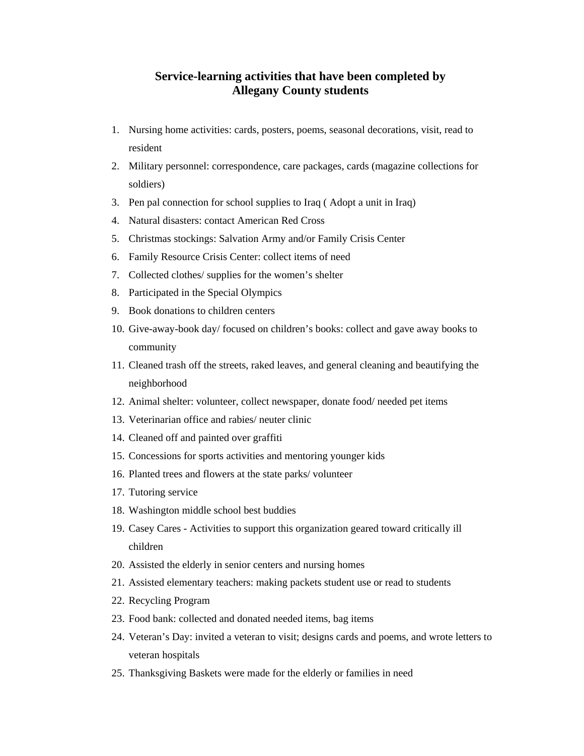## **Service-learning activities that have been completed by Allegany County students**

- 1. Nursing home activities: cards, posters, poems, seasonal decorations, visit, read to resident
- 2. Military personnel: correspondence, care packages, cards (magazine collections for soldiers)
- 3. Pen pal connection for school supplies to Iraq ( Adopt a unit in Iraq)
- 4. Natural disasters: contact American Red Cross
- 5. Christmas stockings: Salvation Army and/or Family Crisis Center
- 6. Family Resource Crisis Center: collect items of need
- 7. Collected clothes/ supplies for the women's shelter
- 8. Participated in the Special Olympics
- 9. Book donations to children centers
- 10. Give-away-book day/ focused on children's books: collect and gave away books to community
- 11. Cleaned trash off the streets, raked leaves, and general cleaning and beautifying the neighborhood
- 12. Animal shelter: volunteer, collect newspaper, donate food/ needed pet items
- 13. Veterinarian office and rabies/ neuter clinic
- 14. Cleaned off and painted over graffiti
- 15. Concessions for sports activities and mentoring younger kids
- 16. Planted trees and flowers at the state parks/ volunteer
- 17. Tutoring service
- 18. Washington middle school best buddies
- 19. Casey Cares Activities to support this organization geared toward critically ill children
- 20. Assisted the elderly in senior centers and nursing homes
- 21. Assisted elementary teachers: making packets student use or read to students
- 22. Recycling Program
- 23. Food bank: collected and donated needed items, bag items
- 24. Veteran's Day: invited a veteran to visit; designs cards and poems, and wrote letters to veteran hospitals
- 25. Thanksgiving Baskets were made for the elderly or families in need